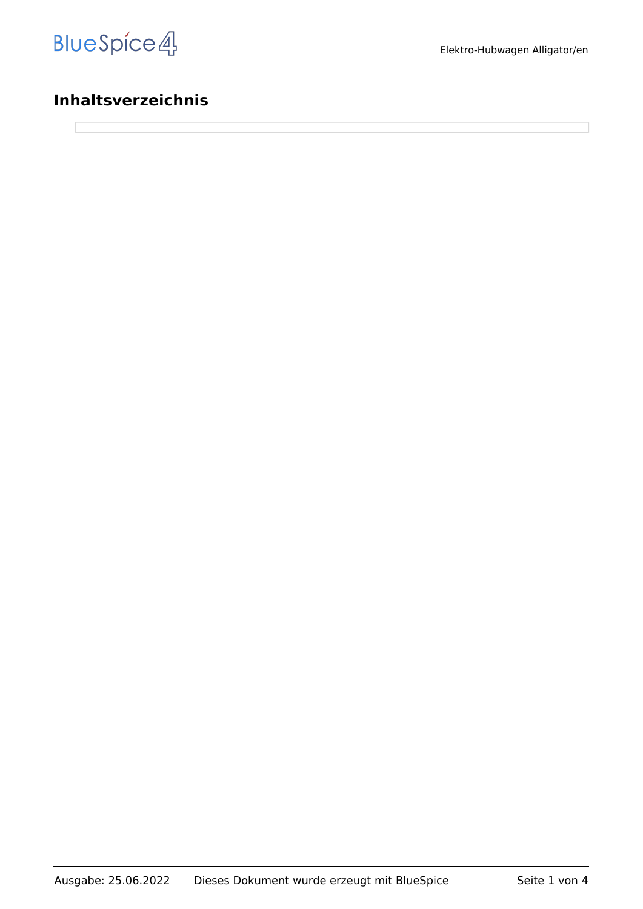# **Inhaltsverzeichnis**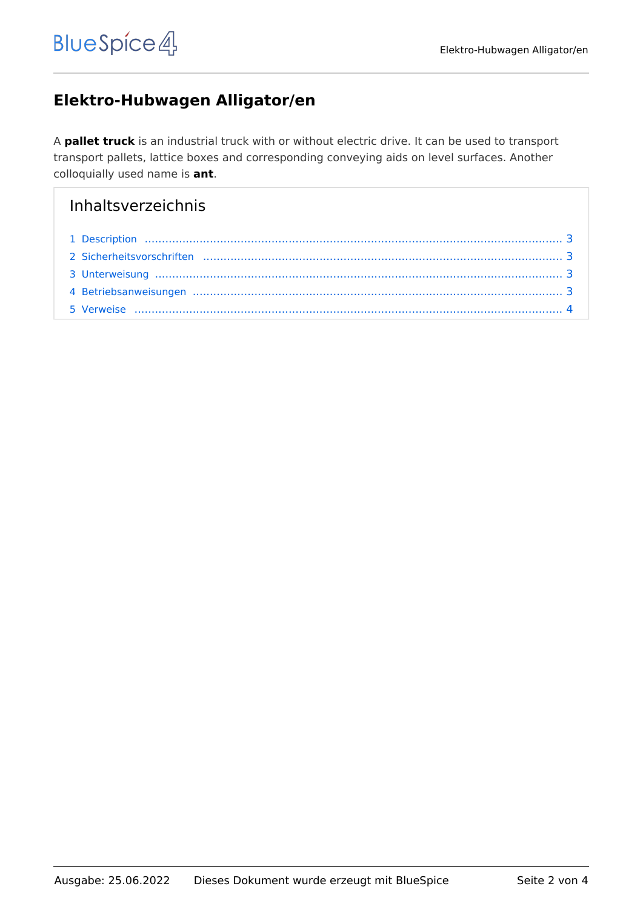# **Elektro-Hubwagen Alligator/en**

A **pallet truck** is an industrial truck with or without electric drive. It can be used to transport transport pallets, lattice boxes and corresponding conveying aids on level surfaces. Another colloquially used name is **ant**.

# Inhaltsverzeichnis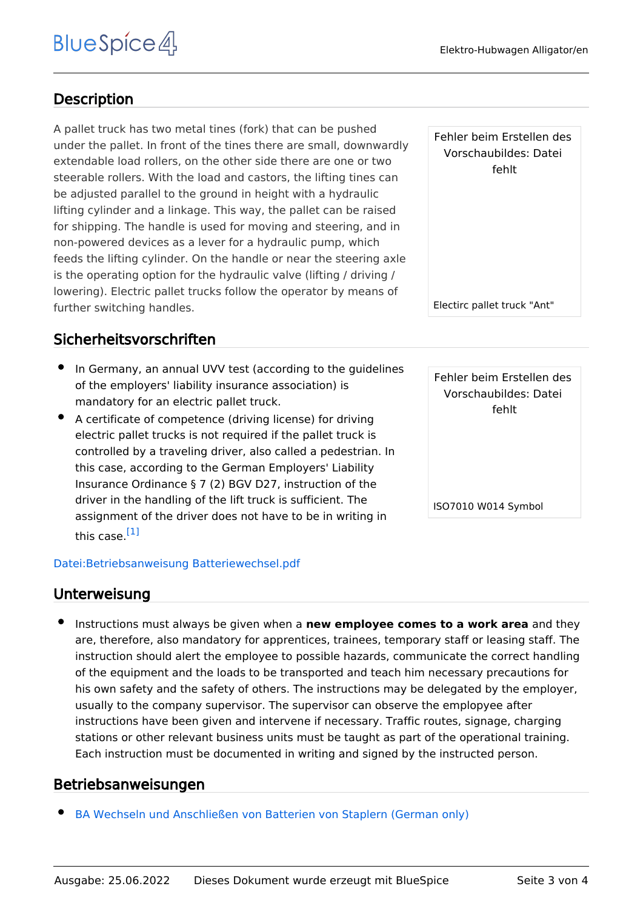## <span id="page-2-0"></span>**Description**

A pallet truck has two metal tines (fork) that can be pushed under the pallet. In front of the tines there are small, downwardly extendable load rollers, on the other side there are one or two steerable rollers. With the load and castors, the lifting tines can be adjusted parallel to the ground in height with a hydraulic lifting cylinder and a linkage. This way, the pallet can be raised for shipping. The handle is used for moving and steering, and in non-powered devices as a lever for a hydraulic pump, which feeds the lifting cylinder. On the handle or near the steering axle is the operating option for the hydraulic valve (lifting / driving / lowering). Electric pallet trucks follow the operator by means of further switching handles.

## <span id="page-2-1"></span>Sicherheitsvorschriften

- In Germany, an annual UVV test (according to the guidelines of the employers' liability insurance association) is mandatory for an electric pallet truck.
- A certificate of competence (driving license) for driving electric pallet trucks is not required if the pallet truck is controlled by a traveling driver, also called a pedestrian. In this case, according to the German Employers' Liability Insurance Ordinance § 7 (2) BGV D27, instruction of the driver in the handling of the lift truck is sufficient. The assignment of the driver does not have to be in writing in this case.<sup>[\[1\]](#page-3-1)</sup>

#### <span id="page-2-4"></span>[Datei:Betriebsanweisung Batteriewechsel.pdf](https://de.demo.bluespice.com/wiki/Datei:Betriebsanweisung_Batteriewechsel.pdf)

#### <span id="page-2-2"></span>Unterweisung

Instructions must always be given when a **new employee comes to a work area** and they are, therefore, also mandatory for apprentices, trainees, temporary staff or leasing staff. The instruction should alert the employee to possible hazards, communicate the correct handling of the equipment and the loads to be transported and teach him necessary precautions for his own safety and the safety of others. The instructions may be delegated by the employer, usually to the company supervisor. The supervisor can observe the emplopyee after instructions have been given and intervene if necessary. Traffic routes, signage, charging stations or other relevant business units must be taught as part of the operational training. Each instruction must be documented in writing and signed by the instructed person.

### <span id="page-2-3"></span>Betriebsanweisungen

[BA Wechseln und Anschließen von Batterien von Staplern \(German only\)](https://de.demo.bluespice.com/w/nsfr_img_auth.php/5/5a/Betriebsanweisung_Batteriewechsel.pdf)

Fehler beim Erstellen des Vorschaubildes: Datei fehlt

Electirc pallet truck "Ant"

Fehler beim Erstellen des Vorschaubildes: Datei fehlt

ISO7010 W014 Symbol